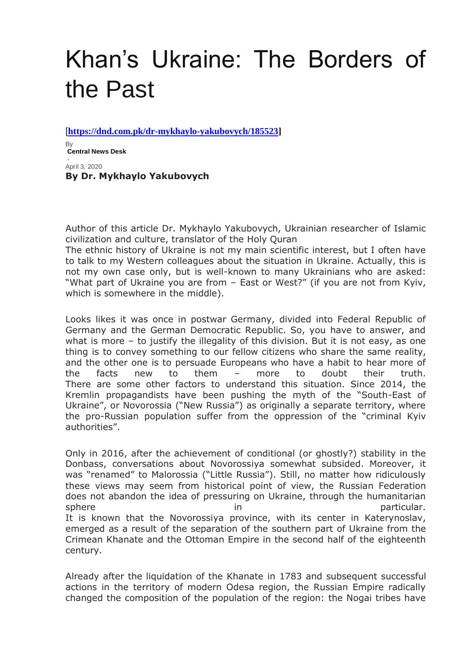# Khan's Ukraine: The Borders of the Past

[**[https://dnd.com.pk/dr-mykhaylo-yakubovych/185523\]](https://dnd.com.pk/dr-mykhaylo-yakubovych/185523)**

By **[Central News Desk](https://dnd.com.pk/author/admin2)**

- April 3, 2020 **By Dr. Mykhaylo Yakubovych**

Author of this article Dr. Mykhaylo Yakubovych, Ukrainian researcher of Islamic civilization and culture, translator of the Holy Quran

The ethnic history of Ukraine is not my main scientific interest, but I often have to talk to my Western colleagues about the situation in Ukraine. Actually, this is not my own case only, but is well-known to many Ukrainians who are asked: "What part of Ukraine you are from – East or West?" (if you are not from Kyiv, which is somewhere in the middle).

Looks likes it was once in postwar Germany, divided into Federal Republic of Germany and the German Democratic Republic. So, you have to answer, and what is more – to justify the illegality of this division. But it is not easy, as one thing is to convey something to our fellow citizens who share the same reality, and the other one is to persuade Europeans who have a habit to hear more of the facts new to them – more to doubt their truth. There are some other factors to understand this situation. Since 2014, the Kremlin propagandists have been pushing the myth of the "South-East of Ukraine", or Novorossia ("New Russia") as originally a separate territory, where the pro-Russian population suffer from the oppression of the "criminal Kyiv authorities".

Only in 2016, after the achievement of conditional (or ghostly?) stability in the Donbass, conversations about Novorossiya somewhat subsided. Moreover, it was "renamed" to Malorossia ("Little Russia"). Still, no matter how ridiculously these views may seem from historical point of view, the Russian Federation does not abandon the idea of pressuring on Ukraine, through the humanitarian sphere in the in particular. It is known that the Novorossiyа province, with its center in Katerynoslav, emerged as a result of the separation of the southern part of Ukraine from the Crimean Khanate and the Ottoman Empire in the second half of the eighteenth century.

Already after the liquidation of the Khanate in 1783 and subsequent successful actions in the territory of modern Odesa region, the Russian Empire radically changed the composition of the population of the region: the Nogai tribes have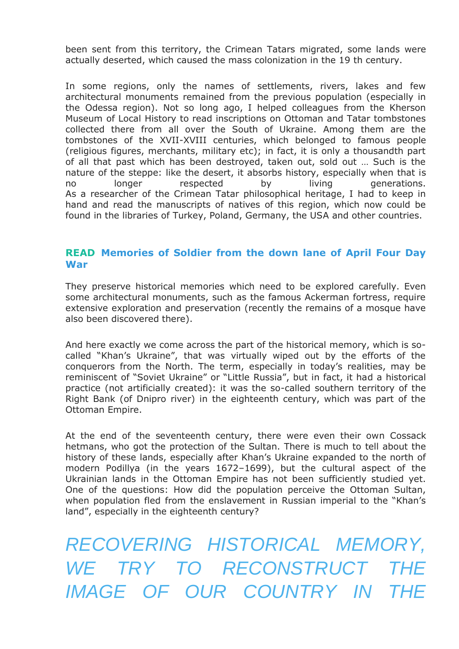been sent from this territory, the Crimean Tatars migrated, some lands were actually deserted, which caused the mass colonization in the 19 th century.

In some regions, only the names of settlements, rivers, lakes and few architectural monuments remained from the previous population (especially in the Odessa region). Not so long ago, I helped colleagues from the Kherson Museum of Local History to read inscriptions on Ottoman and Tatar tombstones collected there from all over the South of Ukraine. Among them are the tombstones of the XVII-XVIII centuries, which belonged to famous people (religious figures, merchants, military etc); in fact, it is only a thousandth part of all that past which has been destroyed, taken out, sold out … Such is the nature of the steppe: like the desert, it absorbs history, especially when that is no longer respected by living generations. As a researcher of the Crimean Tatar philosophical heritage, I had to keep in hand and read the manuscripts of natives of this region, which now could be found in the libraries of Turkey, Poland, Germany, the USA and other countries.

### **READ [Memories of Soldier from the down lane of April Four Day](https://dnd.com.pk/memories-of-soldier-from-the-down-lane-of-april-four-day-war/163845)  [War](https://dnd.com.pk/memories-of-soldier-from-the-down-lane-of-april-four-day-war/163845)**

They preserve historical memories which need to be explored carefully. Even some architectural monuments, such as the famous Ackerman fortress, require extensive exploration and preservation (recently the remains of a mosque have also been discovered there).

And here exactly we come across the part of the historical memory, which is socalled "Khan's Ukraine", that was virtually wiped out by the efforts of the conquerors from the North. The term, especially in today's realities, may be reminiscent of "Soviet Ukraine" or "Little Russia", but in fact, it had a historical practice (not artificially created): it was the so-called southern territory of the Right Bank (of Dnipro river) in the eighteenth century, which was part of the Ottoman Empire.

At the end of the seventeenth century, there were even their own Cossack hetmans, who got the protection of the Sultan. There is much to tell about the history of these lands, especially after Khan's Ukraine expanded to the north of modern Podillya (in the years 1672–1699), but the cultural aspect of the Ukrainian lands in the Ottoman Empire has not been sufficiently studied yet. One of the questions: How did the population perceive the Ottoman Sultan, when population fled from the enslavement in Russian imperial to the "Khan's land", especially in the eighteenth century?

*RECOVERING HISTORICAL MEMORY, WE TRY TO RECONSTRUCT IMAGE OF OUR COUNTRY IN*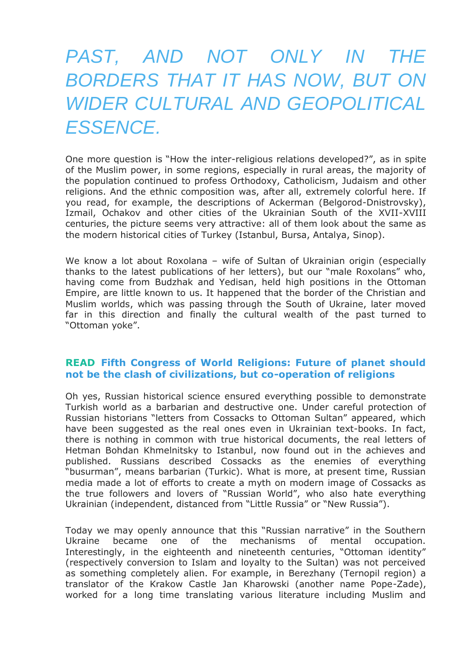## *PAST, AND NOT ONLY IN THE BORDERS THAT IT HAS NOW, BUT ON WIDER CULTURAL AND GEOPOLITICAL ESSENCE.*

One more question is "How the inter-religious relations developed?", as in spite of the Muslim power, in some regions, especially in rural areas, the majority of the population continued to profess Orthodoxy, Catholicism, Judaism and other religions. And the ethnic composition was, after all, extremely colorful here. If you read, for example, the descriptions of Ackerman (Belgorod-Dnistrovsky), Izmail, Ochakov and other cities of the Ukrainian South of the XVII-XVIII centuries, the picture seems very attractive: all of them look about the same as the modern historical cities of Turkey (Istanbul, Bursa, Antalya, Sinop).

We know a lot about Roxolana - wife of Sultan of Ukrainian origin (especially thanks to the latest publications of her letters), but our "male Roxolans" who, having come from Budzhak and Yedisan, held high positions in the Ottoman Empire, are little known to us. It happened that the border of the Christian and Muslim worlds, which was passing through the South of Ukraine, later moved far in this direction and finally the cultural wealth of the past turned to "Ottoman yoke".

#### **READ [Fifth Congress of World Religions: Future of planet should](https://dnd.com.pk/fifth-congress-of-world-religions/92988)  [not be the clash of civilizations, but co-operation of religions](https://dnd.com.pk/fifth-congress-of-world-religions/92988)**

Oh yes, Russian historical science ensured everything possible to demonstrate Turkish world as a barbarian and destructive one. Under careful protection of Russian historians "letters from Cossacks to Ottoman Sultan" appeared, which have been suggested as the real ones even in Ukrainian text-books. In fact, there is nothing in common with true historical documents, the real letters of Hetman Bohdan Khmelnitsky to Istanbul, now found out in the achieves and published. Russians described Cossacks as the enemies of everything "busurman", means barbarian (Turkic). What is more, at present time, Russian media made a lot of efforts to create a myth on modern image of Cossacks as the true followers and lovers of "Russian World", who also hate everything Ukrainian (independent, distanced from "Little Russia" or "New Russia").

Today we may openly announce that this "Russian narrative" in the Southern Ukraine became one of the mechanisms of mental occupation. Interestingly, in the eighteenth and nineteenth centuries, "Ottoman identity" (respectively conversion to Islam and loyalty to the Sultan) was not perceived as something completely alien. For example, in Berezhany (Ternopil region) a translator of the Krakow Castle Jan Kharowski (another name Pope-Zade), worked for a long time translating various literature including Muslim and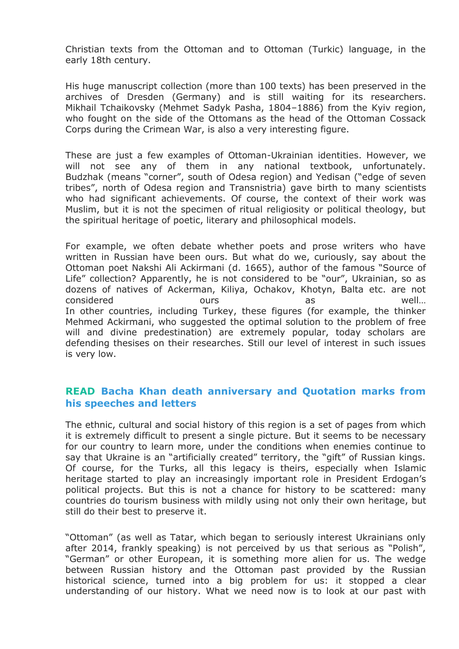Christian texts from the Ottoman and to Ottoman (Turkic) language, in the early 18th century.

His huge manuscript collection (more than 100 texts) has been preserved in the archives of Dresden (Germany) and is still waiting for its researchers. Mikhail Tchaikovsky (Mehmet Sadyk Pasha, 1804–1886) from the Kyiv region, who fought on the side of the Ottomans as the head of the Ottoman Cossack Corps during the Crimean War, is also a very interesting figure.

These are just a few examples of Ottoman-Ukrainian identities. However, we will not see any of them in any national textbook, unfortunately. Budzhak (means "corner", south of Odesa region) and Yedisan ("edge of seven tribes", north of Odesa region and Transnistria) gave birth to many scientists who had significant achievements. Of course, the context of their work was Muslim, but it is not the specimen of ritual religiosity or political theology, but the spiritual heritage of poetic, literary and philosophical models.

For example, we often debate whether poets and prose writers who have written in Russian have been ours. But what do we, curiously, say about the Ottoman poet Nakshi Ali Ackirmani (d. 1665), author of the famous "Source of Life" collection? Apparently, he is not considered to be "our", Ukrainian, so as dozens of natives of Ackerman, Kiliya, Ochakov, Khotyn, Balta etc. are not considered ours as well… In other countries, including Turkey, these figures (for example, the thinker Mehmed Ackirmani, who suggested the optimal solution to the problem of free will and divine predestination) are extremely popular, today scholars are defending thesises on their researches. Still our level of interest in such issues is very low.

### **READ [Bacha Khan death anniversary and Quotation marks from](https://dnd.com.pk/bacha-khan-death-anniversary-quotation-marks-speeches-letters/86488)  [his speeches and letters](https://dnd.com.pk/bacha-khan-death-anniversary-quotation-marks-speeches-letters/86488)**

The ethnic, cultural and social history of this region is a set of pages from which it is extremely difficult to present a single picture. But it seems to be necessary for our country to learn more, under the conditions when enemies continue to say that Ukraine is an "artificially created" territory, the "gift" of Russian kings. Of course, for the Turks, all this legacy is theirs, especially when Islamic heritage started to play an increasingly important role in President Erdogan's political projects. But this is not a chance for history to be scattered: many countries do tourism business with mildly using not only their own heritage, but still do their best to preserve it.

"Ottoman" (as well as Tatar, which began to seriously interest Ukrainians only after 2014, frankly speaking) is not perceived by us that serious as "Polish", "German" or other European, it is something more alien for us. The wedge between Russian history and the Ottoman past provided by the Russian historical science, turned into a big problem for us: it stopped a clear understanding of our history. What we need now is to look at our past with